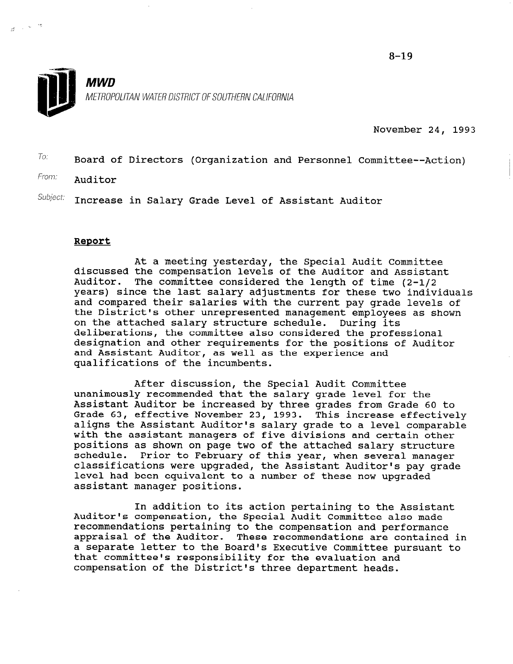$8 - 19$ 



November 24, 1993

 $T$ o: Board of Directors (Organization and Personnel Committee--Action)

From: **Auditor** 

 $\mathcal{S} \longrightarrow \mathbb{R}^{n \times \mathbb{N} \times \mathbb{N}}$ 

 $Subject:$  Increase in Salary Grade Level of Assistant Auditor

#### Report

At a meeting yesterday, the Special Audit Committee discussed the compensation levels of the Auditor and Assistant Auditor. The committee considered the length of time (2-l/2 years) since the last salary adjustments for these two individuals and compared their salaries with the current pay grade levels of the District's other unrepresented management employees as shown on the attached salary structure schedule. During its deliberations, the committee also considered the professional designation and other requirements for the positions of Auditor and Assistant Auditor, as well as the experience and qualifications of the incumbents.

After discussion, the Special Audit Committee unanimously recommended that the salary grade level for the Assistant Auditor be increased by three grades from Grade 60 to Grade 63, effective November 23, 1993. This increase effectively aligns the Assistant Auditor's salary grade to a level comparable with the assistant managers of five divisions and certain other positions as shown on page two of the attached salary structure schedule. Prior to February of this year, when several manager classifications were upgraded, the Assistant Auditor's pay grade classificacions were upgraueu, the Assistant Auditof's pay assistant manager positions.

In addition to its action pertaining to the Assistant IN AUDITION TO ITS ACTION PERTAINING TO THE ASSISTA Auditor's compensation, the special Audit committee also mad recommendations pertaining to the compensation and performance appraisal of the Auditor. These recommendations are contained in<br>a separate letter to the Board's Executive Committee pursuant to a separate fetter to the board's rxecutive committee p chat committee's responsibility for the evaluation an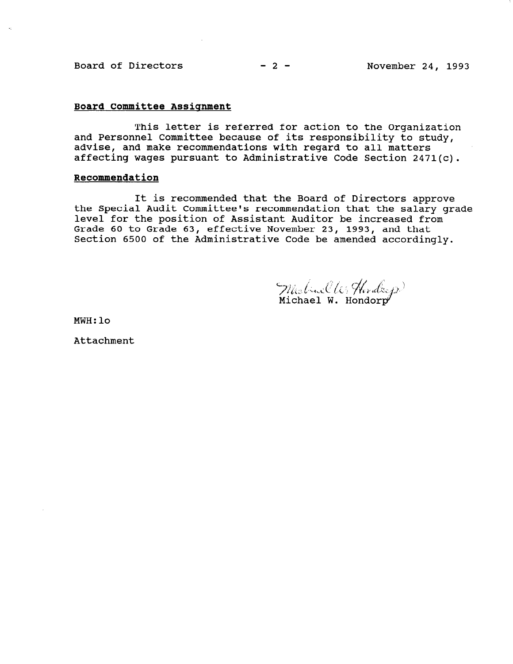### Board of Directors  $-2-$  November 24, 1993

#### Board Committee Assignment

This letter is referred for action to the Organization and Personnel Committee because of its responsibility to study, advise, and make recommendations with regard to all matters affecting wages pursuant to Administrative Code Section 2471(c).

#### Recommendation

It is recommended that the Board of Directors approve the Special Audit Committee's recommendation that the salary grade level for the position of Assistant Auditor be increased from Grade 60 to Grade 63, effective November 23, 1993, and that Section 6500 of the Administrative Code be amended accordingly.

Michael W. Horders

MWH:lo

Attachment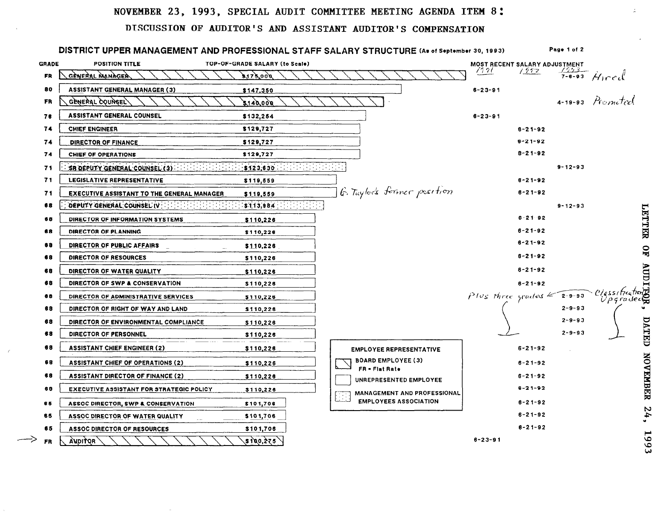## NOVEMBER 23, 1993, SPECIAL AUDIT COMMITTEE MEETING AGENDA ITEM 8:

### DISCUSSION OF AUDITOR'S AND ASSISTANT AUDITOR'S COMPENSATION

| <b>GRADE</b> | <b>POSITION TITLE</b>                             | TOP-OF-GRADE SALARY (to Scale) |                                                    |               | MOST RECENT SALARY ADJUSTMENT                                     |                                 |
|--------------|---------------------------------------------------|--------------------------------|----------------------------------------------------|---------------|-------------------------------------------------------------------|---------------------------------|
| FR           | GÈNERAL MANAGER                                   | 3175,000                       |                                                    | 1521          | 1592                                                              | $\frac{7653}{7 - 6 - 93}$ Hired |
| 80           | <b>ASSISTANT GENERAL MANAGER (3)</b>              | \$147,350                      |                                                    | $6 - 23 - 91$ |                                                                   | 4-19-93 Promoted                |
| FR           | GENERAL COUNCEL                                   | 140.000                        |                                                    |               |                                                                   |                                 |
| 76           | <b>ASSISTANT GENERAL COUNSEL</b>                  | \$132,254                      |                                                    | $6 - 23 - 91$ |                                                                   |                                 |
| 74           | CHIEF ENGINEER                                    | \$129,727                      |                                                    |               | $8 - 21 - 92$                                                     |                                 |
| 74           | DIRECTOR OF FINANCE                               | \$129,727                      |                                                    |               | $6 - 21 - 92$                                                     |                                 |
| 74           | CHIEF OF OPERATIONS                               | \$129,727                      |                                                    |               | $8 - 21 - 92$                                                     |                                 |
| 71           | SR DEPUTY GENERAL COUNSEL (3) [11]                | \$123,830                      |                                                    |               | $9 - 12 - 93$                                                     |                                 |
| 71           | LEGISLATIVE REPRESENTATIVE                        | \$119,559                      |                                                    |               | $6 - 21 - 92$                                                     |                                 |
| 71           | <b>EXECUTIVE ASSISTANT TO THE GENERAL MANAGER</b> | \$119,559                      | G. Taylor's former position                        |               | $6 - 21 - 92$                                                     |                                 |
| 68           | DEPUTY GENERAL COUNSEL IV : A FAMILY AND THE      | \$113,984                      |                                                    |               | $9 - 12 - 93$                                                     |                                 |
| 68           | DIRECTOR OF INFORMATION SYSTEMS                   | \$110,226                      |                                                    |               | $8 - 21 - 92$                                                     |                                 |
| 68           | DIRECTOR OF PLANNING                              | \$110,226                      |                                                    |               | $8 - 21 - 92$                                                     |                                 |
| 68           | DIRECTOR OF PUBLIC AFFAIRS                        | \$110,228                      |                                                    |               | $6 - 21 - 92$                                                     |                                 |
| 68           | DIRECTOR OF RESOURCES                             | \$110,226                      |                                                    |               | $6 - 21 - 92$                                                     |                                 |
| 68           | DIRECTOR OF WATER QUALITY                         | \$110,226                      |                                                    |               | $8 - 21 - 92$                                                     |                                 |
| 68           | DIRECTOR OF SWP & CONSERVATION                    | \$110,226                      |                                                    |               | $6 - 21 - 92$                                                     |                                 |
| 68           | DIRECTOR OF ADMINISTRATIVE SERVICES               | <u>\$110,226</u>               |                                                    |               | $P \text{log three yields} \leq 2 - 9 - 93$ $\text{C/gsshtedton}$ | $U\rho$ qradec $\mathbb{C}$     |
| 68           | DIRECTOR OF RIGHT OF WAY AND LAND                 | \$110,226                      |                                                    |               | $2 - 9 - 93$<br>$2 - 9 - 93$                                      |                                 |
| 68           | DIRECTOR OF ENVIRONMENTAL COMPLIANCE              | \$110,226                      |                                                    |               | $2 - 9 - 93$                                                      |                                 |
| 68           | DIRECTOR OF PERSONNEL                             | \$110,226                      |                                                    |               |                                                                   |                                 |
| 68           | <b>ASSISTANT CHIEF ENGINEER (2)</b>               | \$110,226                      | <b>EMPLOYEE REPRESENTATIVE</b>                     |               | $6 - 21 - 92$                                                     |                                 |
| 68           | <b>ASSISTANT CHIEF OF OPERATIONS (2)</b>          | \$110,226                      | <b>BOARD EMPLOYEE (3)</b><br><b>FR = Flat Rate</b> |               | $6 - 21 - 92$                                                     |                                 |
| 68           | <b>ASSISTANT DIRECTOR OF FINANCE (2)</b>          | \$110,226                      | UNREPRESENTED EMPLOYEE                             |               | $6 - 21 - 92$                                                     |                                 |
| 68           | <b>EXECUTIVE ASSISTANT FOR STRATEGIC POLICY</b>   | \$110,226                      | MANAGEMENT AND PROFESSIONAL                        |               | $6 - 21 - 92$                                                     |                                 |
| 65           | ASSOC DIRECTOR, SWP & CONSERVATION                | \$101,706                      | <b>EMPLOYEES ASSOCIATION</b>                       |               | $6 - 21 - 92$                                                     |                                 |
| 65           | ASSOC DIRECTOR OF WATER QUALITY                   | \$101,706                      |                                                    |               | $6 - 21 - 92$                                                     |                                 |
| 65           | ASSOC DIRECTOR OF RESOURCES                       | \$101,706                      |                                                    |               | $6 - 21 - 92$                                                     |                                 |

 $\overline{\phantom{a}}$ 

 $\sim$ 

٥ Ó. دى

 $\mathcal{L}$